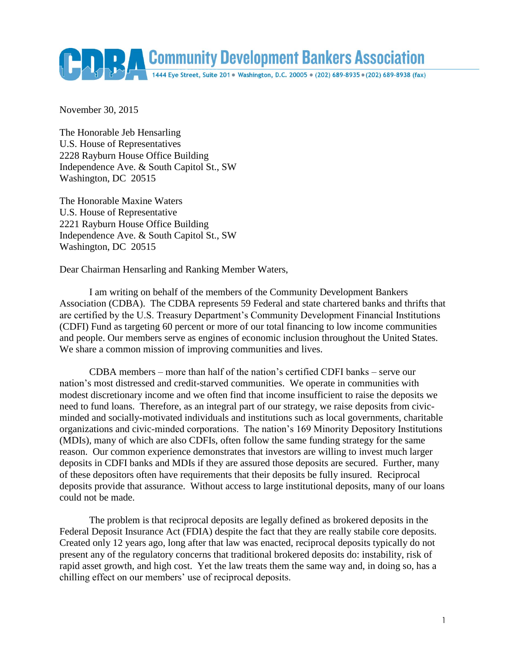

November 30, 2015

The Honorable Jeb Hensarling U.S. House of Representatives 2228 Rayburn House Office Building Independence Ave. & South Capitol St., SW Washington, DC 20515

The Honorable Maxine Waters U.S. House of Representative 2221 Rayburn House Office Building Independence Ave. & South Capitol St., SW Washington, DC 20515

Dear Chairman Hensarling and Ranking Member Waters,

I am writing on behalf of the members of the Community Development Bankers Association (CDBA). The CDBA represents 59 Federal and state chartered banks and thrifts that are certified by the U.S. Treasury Department's Community Development Financial Institutions (CDFI) Fund as targeting 60 percent or more of our total financing to low income communities and people. Our members serve as engines of economic inclusion throughout the United States. We share a common mission of improving communities and lives.

CDBA members – more than half of the nation's certified CDFI banks – serve our nation's most distressed and credit-starved communities. We operate in communities with modest discretionary income and we often find that income insufficient to raise the deposits we need to fund loans. Therefore, as an integral part of our strategy, we raise deposits from civicminded and socially-motivated individuals and institutions such as local governments, charitable organizations and civic-minded corporations. The nation's 169 Minority Depository Institutions (MDIs), many of which are also CDFIs, often follow the same funding strategy for the same reason. Our common experience demonstrates that investors are willing to invest much larger deposits in CDFI banks and MDIs if they are assured those deposits are secured. Further, many of these depositors often have requirements that their deposits be fully insured. Reciprocal deposits provide that assurance. Without access to large institutional deposits, many of our loans could not be made.

The problem is that reciprocal deposits are legally defined as brokered deposits in the Federal Deposit Insurance Act (FDIA) despite the fact that they are really stabile core deposits. Created only 12 years ago, long after that law was enacted, reciprocal deposits typically do not present any of the regulatory concerns that traditional brokered deposits do: instability, risk of rapid asset growth, and high cost. Yet the law treats them the same way and, in doing so, has a chilling effect on our members' use of reciprocal deposits.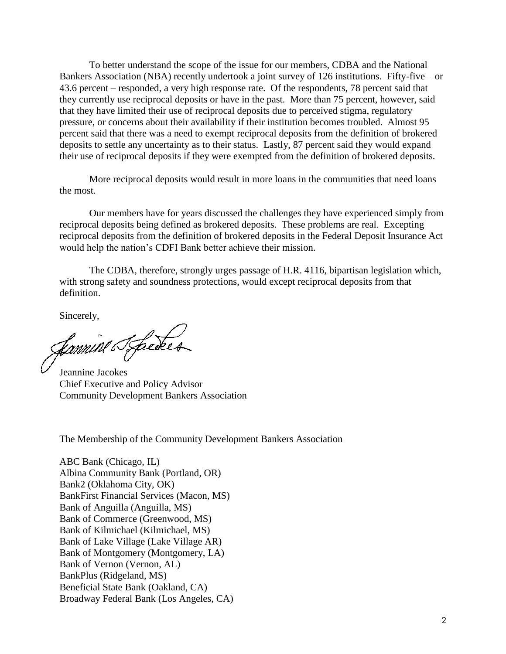To better understand the scope of the issue for our members, CDBA and the National Bankers Association (NBA) recently undertook a joint survey of 126 institutions. Fifty-five – or 43.6 percent – responded, a very high response rate. Of the respondents, 78 percent said that they currently use reciprocal deposits or have in the past. More than 75 percent, however, said that they have limited their use of reciprocal deposits due to perceived stigma, regulatory pressure, or concerns about their availability if their institution becomes troubled. Almost 95 percent said that there was a need to exempt reciprocal deposits from the definition of brokered deposits to settle any uncertainty as to their status. Lastly, 87 percent said they would expand their use of reciprocal deposits if they were exempted from the definition of brokered deposits.

More reciprocal deposits would result in more loans in the communities that need loans the most.

Our members have for years discussed the challenges they have experienced simply from reciprocal deposits being defined as brokered deposits. These problems are real. Excepting reciprocal deposits from the definition of brokered deposits in the Federal Deposit Insurance Act would help the nation's CDFI Bank better achieve their mission.

The CDBA, therefore, strongly urges passage of H.R. 4116, bipartisan legislation which, with strong safety and soundness protections, would except reciprocal deposits from that definition.

Sincerely,

fannine Streeker

Jeannine Jacokes Chief Executive and Policy Advisor Community Development Bankers Association

The Membership of the Community Development Bankers Association

ABC Bank (Chicago, IL) Albina Community Bank (Portland, OR) Bank2 (Oklahoma City, OK) BankFirst Financial Services (Macon, MS) Bank of Anguilla (Anguilla, MS) Bank of Commerce (Greenwood, MS) Bank of Kilmichael (Kilmichael, MS) Bank of Lake Village (Lake Village AR) Bank of Montgomery (Montgomery, LA) Bank of Vernon (Vernon, AL) BankPlus (Ridgeland, MS) Beneficial State Bank (Oakland, CA) Broadway Federal Bank (Los Angeles, CA)